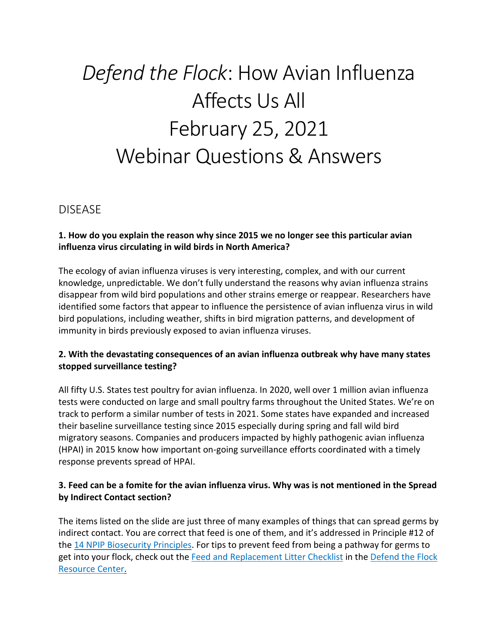# *Defend the Flock*: How Avian Influenza Affects Us All February 25, 2021 Webinar Questions & Answers

# DISEASE

#### **1. How do you explain the reason why since 2015 we no longer see this particular avian influenza virus circulating in wild birds in North America?**

The ecology of avian influenza viruses is very interesting, complex, and with our current knowledge, unpredictable. We don't fully understand the reasons why avian influenza strains disappear from wild bird populations and other strains emerge or reappear. Researchers have identified some factors that appear to influence the persistence of avian influenza virus in wild bird populations, including weather, shifts in bird migration patterns, and development of immunity in birds previously exposed to avian influenza viruses.

## **2. With the devastating consequences of an avian influenza outbreak why have many states stopped surveillance testing?**

All fifty U.S. States test poultry for avian influenza. In 2020, well over 1 million avian influenza tests were conducted on large and small poultry farms throughout the United States. We're on track to perform a similar number of tests in 2021. Some states have expanded and increased their baseline surveillance testing since 2015 especially during spring and fall wild bird migratory seasons. Companies and producers impacted by highly pathogenic avian influenza (HPAI) in 2015 know how important on-going surveillance efforts coordinated with a timely response prevents spread of HPAI.

#### **3. Feed can be a fomite for the avian influenza virus. Why was is not mentioned in the Spread by Indirect Contact section?**

The items listed on the slide are just three of many examples of things that can spread germs by indirect contact. You are correct that feed is one of them, and it's addressed in Principle #12 of the [14 NPIP Biosecurity Principles.](https://www.poultryimprovement.org/documents/StandardE-BiosecurityPrinciples.pdf) For tips to prevent feed from being a pathway for germs to get into your flock, check out the [Feed and Replacement Litter Checklist](https://www.aphis.usda.gov/publications/animal_health/fsc-birds-checklist-feed-and-replacement-litter.pdf) in the [Defend the Flock](https://www.aphis.usda.gov/aphis/ourfocus/animalhealth/animal-disease-information/avian/defend-the-flock-program/dtf-resources)  [Resource Center.](https://www.aphis.usda.gov/aphis/ourfocus/animalhealth/animal-disease-information/avian/defend-the-flock-program/dtf-resources)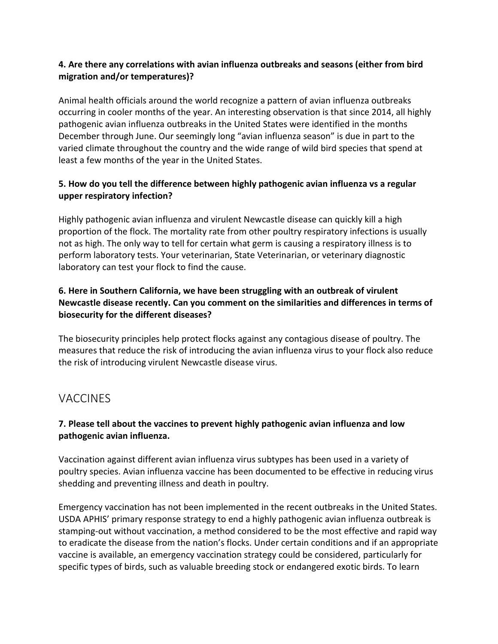## **4. Are there any correlations with avian influenza outbreaks and seasons (either from bird migration and/or temperatures)?**

Animal health officials around the world recognize a pattern of avian influenza outbreaks occurring in cooler months of the year. An interesting observation is that since 2014, all highly pathogenic avian influenza outbreaks in the United States were identified in the months December through June. Our seemingly long "avian influenza season" is due in part to the varied climate throughout the country and the wide range of wild bird species that spend at least a few months of the year in the United States.

## **5. How do you tell the difference between highly pathogenic avian influenza vs a regular upper respiratory infection?**

Highly pathogenic avian influenza and virulent Newcastle disease can quickly kill a high proportion of the flock. The mortality rate from other poultry respiratory infections is usually not as high. The only way to tell for certain what germ is causing a respiratory illness is to perform laboratory tests. Your veterinarian, State Veterinarian, or veterinary diagnostic laboratory can test your flock to find the cause.

## **6. Here in Southern California, we have been struggling with an outbreak of virulent Newcastle disease recently. Can you comment on the similarities and differences in terms of biosecurity for the different diseases?**

The biosecurity principles help protect flocks against any contagious disease of poultry. The measures that reduce the risk of introducing the avian influenza virus to your flock also reduce the risk of introducing virulent Newcastle disease virus.

# **VACCINES**

## **7. Please tell about the vaccines to prevent highly pathogenic avian influenza and low pathogenic avian influenza.**

Vaccination against different avian influenza virus subtypes has been used in a variety of poultry species. Avian influenza vaccine has been documented to be effective in reducing virus shedding and preventing illness and death in poultry.

Emergency vaccination has not been implemented in the recent outbreaks in the United States. USDA APHIS' primary response strategy to end a highly pathogenic avian influenza outbreak is stamping-out without vaccination, a method considered to be the most effective and rapid way to eradicate the disease from the nation's flocks. Under certain conditions and if an appropriate vaccine is available, an emergency vaccination strategy could be considered, particularly for specific types of birds, such as valuable breeding stock or endangered exotic birds. To learn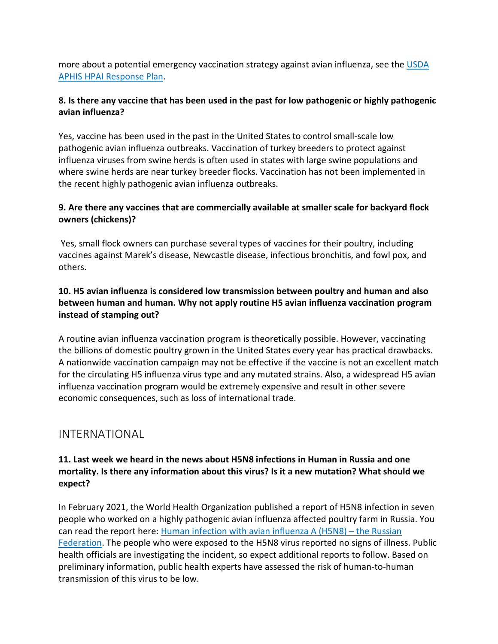more about a potential emergency vaccination strategy against avian influenza, see the [USDA](https://www.aphis.usda.gov/animal_health/emergency_management/downloads/hpai_response_plan.pdf)  [APHIS HPAI Response Plan.](https://www.aphis.usda.gov/animal_health/emergency_management/downloads/hpai_response_plan.pdf)

## **8. Is there any vaccine that has been used in the past for low pathogenic or highly pathogenic avian influenza?**

Yes, vaccine has been used in the past in the United States to control small-scale low pathogenic avian influenza outbreaks. Vaccination of turkey breeders to protect against influenza viruses from swine herds is often used in states with large swine populations and where swine herds are near turkey breeder flocks. Vaccination has not been implemented in the recent highly pathogenic avian influenza outbreaks.

## **9. Are there any vaccines that are commercially available at smaller scale for backyard flock owners (chickens)?**

Yes, small flock owners can purchase several types of vaccines for their poultry, including vaccines against Marek's disease, Newcastle disease, infectious bronchitis, and fowl pox, and others.

## **10. H5 avian influenza is considered low transmission between poultry and human and also between human and human. Why not apply routine H5 avian influenza vaccination program instead of stamping out?**

A routine avian influenza vaccination program is theoretically possible. However, vaccinating the billions of domestic poultry grown in the United States every year has practical drawbacks. A nationwide vaccination campaign may not be effective if the vaccine is not an excellent match for the circulating H5 influenza virus type and any mutated strains. Also, a widespread H5 avian influenza vaccination program would be extremely expensive and result in other severe economic consequences, such as loss of international trade.

# INTERNATIONAL

#### **11. Last week we heard in the news about H5N8 infections in Human in Russia and one mortality. Is there any information about this virus? Is it a new mutation? What should we expect?**

In February 2021, the World Health Organization published a report of H5N8 infection in seven people who worked on a highly pathogenic avian influenza affected poultry farm in Russia. You can read the report here: [Human infection with avian influenza A \(H5N8\) –](https://www.who.int/csr/don/26-feb-2021-influenza-a-russian-federation/en/) the Russian [Federation.](https://www.who.int/csr/don/26-feb-2021-influenza-a-russian-federation/en/) The people who were exposed to the H5N8 virus reported no signs of illness. Public health officials are investigating the incident, so expect additional reports to follow. Based on preliminary information, public health experts have assessed the risk of human-to-human transmission of this virus to be low.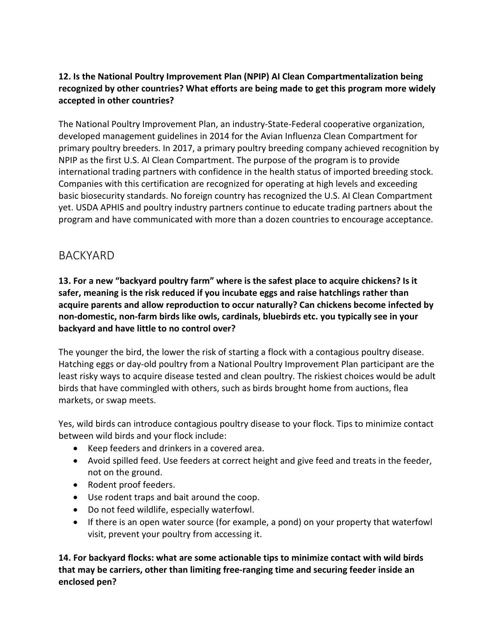## **12. Is the National Poultry Improvement Plan (NPIP) AI Clean Compartmentalization being recognized by other countries? What efforts are being made to get this program more widely accepted in other countries?**

The National Poultry Improvement Plan, an industry-State-Federal cooperative organization, developed management guidelines in 2014 for the Avian Influenza Clean Compartment for primary poultry breeders. In 2017, a primary poultry breeding company achieved recognition by NPIP as the first U.S. AI Clean Compartment. The purpose of the program is to provide international trading partners with confidence in the health status of imported breeding stock. Companies with this certification are recognized for operating at high levels and exceeding basic biosecurity standards. No foreign country has recognized the U.S. AI Clean Compartment yet. USDA APHIS and poultry industry partners continue to educate trading partners about the program and have communicated with more than a dozen countries to encourage acceptance.

# BACKYARD

**13. For a new "backyard poultry farm" where is the safest place to acquire chickens? Is it safer, meaning is the risk reduced if you incubate eggs and raise hatchlings rather than acquire parents and allow reproduction to occur naturally? Can chickens become infected by non-domestic, non-farm birds like owls, cardinals, bluebirds etc. you typically see in your backyard and have little to no control over?**

The younger the bird, the lower the risk of starting a flock with a contagious poultry disease. Hatching eggs or day-old poultry from a National Poultry Improvement Plan participant are the least risky ways to acquire disease tested and clean poultry. The riskiest choices would be adult birds that have commingled with others, such as birds brought home from auctions, flea markets, or swap meets.

Yes, wild birds can introduce contagious poultry disease to your flock. Tips to minimize contact between wild birds and your flock include:

- Keep feeders and drinkers in a covered area.
- Avoid spilled feed. Use feeders at correct height and give feed and treats in the feeder, not on the ground.
- Rodent proof feeders.
- Use rodent traps and bait around the coop.
- Do not feed wildlife, especially waterfowl.
- If there is an open water source (for example, a pond) on your property that waterfowl visit, prevent your poultry from accessing it.

**14. For backyard flocks: what are some actionable tips to minimize contact with wild birds that may be carriers, other than limiting free-ranging time and securing feeder inside an enclosed pen?**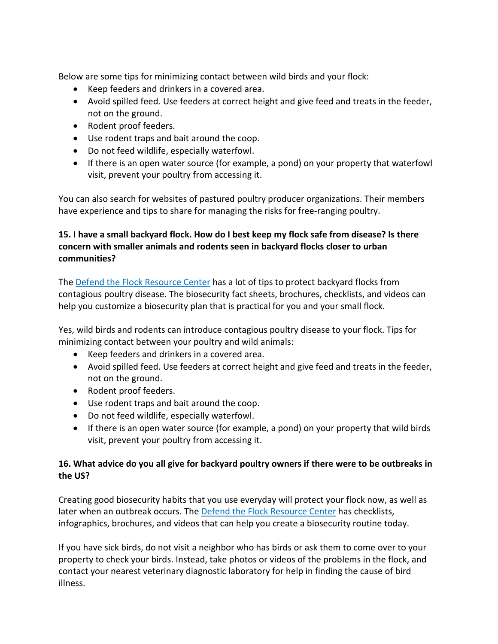Below are some tips for minimizing contact between wild birds and your flock:

- Keep feeders and drinkers in a covered area.
- Avoid spilled feed. Use feeders at correct height and give feed and treats in the feeder, not on the ground.
- Rodent proof feeders.
- Use rodent traps and bait around the coop.
- Do not feed wildlife, especially waterfowl.
- If there is an open water source (for example, a pond) on your property that waterfowl visit, prevent your poultry from accessing it.

You can also search for websites of pastured poultry producer organizations. Their members have experience and tips to share for managing the risks for free-ranging poultry.

## **15. I have a small backyard flock. How do I best keep my flock safe from disease? Is there concern with smaller animals and rodents seen in backyard flocks closer to urban communities?**

The [Defend the Flock Resource Center](https://www.aphis.usda.gov/aphis/ourfocus/animalhealth/animal-disease-information/avian/defend-the-flock-program/dtf-resources) has a lot of tips to protect backyard flocks from contagious poultry disease. The biosecurity fact sheets, brochures, checklists, and videos can help you customize a biosecurity plan that is practical for you and your small flock.

Yes, wild birds and rodents can introduce contagious poultry disease to your flock. Tips for minimizing contact between your poultry and wild animals:

- Keep feeders and drinkers in a covered area.
- Avoid spilled feed. Use feeders at correct height and give feed and treats in the feeder, not on the ground.
- Rodent proof feeders.
- Use rodent traps and bait around the coop.
- Do not feed wildlife, especially waterfowl.
- If there is an open water source (for example, a pond) on your property that wild birds visit, prevent your poultry from accessing it.

## **16. What advice do you all give for backyard poultry owners if there were to be outbreaks in the US?**

Creating good biosecurity habits that you use everyday will protect your flock now, as well as later when an outbreak occurs. The [Defend the Flock Resource Center](https://www.aphis.usda.gov/aphis/ourfocus/animalhealth/animal-disease-information/avian/defend-the-flock-program/dtf-resources) has checklists, infographics, brochures, and videos that can help you create a biosecurity routine today.

If you have sick birds, do not visit a neighbor who has birds or ask them to come over to your property to check your birds. Instead, take photos or videos of the problems in the flock, and contact your nearest veterinary diagnostic laboratory for help in finding the cause of bird illness.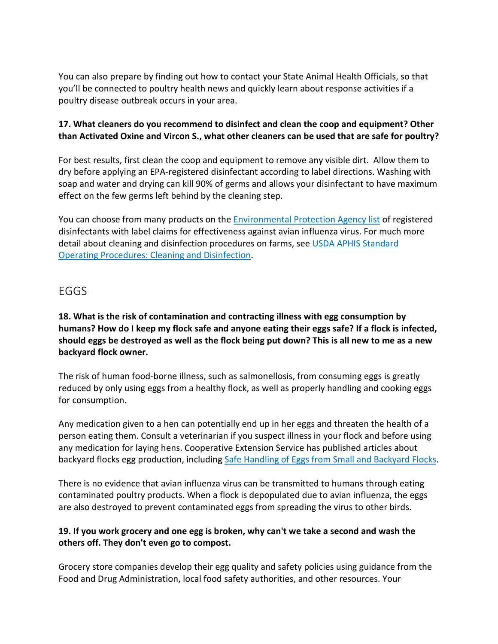You can also prepare by finding out how to contact your State Animal Health Officials, so that you'll be connected to poultry health news and quickly learn about response activities if a poultry disease outbreak occurs in your area.

#### **17. What cleaners do you recommend to disinfect and clean the coop and equipment? Other than Activated Oxine and Vircon S., what other cleaners can be used that are safe for poultry?**

For best results, first clean the coop and equipment to remove any visible dirt. Allow them to dry before applying an EPA-registered disinfectant according to label directions. Washing with soap and water and drying can kill 90% of germs and allows your disinfectant to have maximum effect on the few germs left behind by the cleaning step.

You can choose from many products on the [Environmental Protection Agency list](https://www.epa.gov/pesticide-registration/list-m-registered-antimicrobial-products-label-claims-avian-influenza) of registered disinfectants with label claims for effectiveness against avian influenza virus. For much more detail about cleaning and disinfection procedures on farms, see [USDA APHIS Standard](https://www.aphis.usda.gov/animal_health/emergency_management/downloads/sop/sop_cd.pdf)  [Operating Procedures: Cleaning and Disinfection.](https://www.aphis.usda.gov/animal_health/emergency_management/downloads/sop/sop_cd.pdf)

## EGGS

**18. What is the risk of contamination and contracting illness with egg consumption by humans? How do I keep my flock safe and anyone eating their eggs safe? If a flock is infected, should eggs be destroyed as well as the flock being put down? This is all new to me as a new backyard flock owner.**

The risk of human food-borne illness, such as salmonellosis, from consuming eggs is greatly reduced by only using eggs from a healthy flock, as well as properly handling and cooking eggs for consumption.

Any medication given to a hen can potentially end up in her eggs and threaten the health of a person eating them. Consult a veterinarian if you suspect illness in your flock and before using any medication for laying hens. Cooperative Extension Service has published articles about backyard flocks egg production, including [Safe Handling of Eggs from Small and Backyard Flocks.](https://poultry.extension.org/articles/food-safety-with-poultry-meat-and-eggs/safe-handling-of-eggs-from-small-and-backyard-flocks/)

There is no evidence that avian influenza virus can be transmitted to humans through eating contaminated poultry products. When a flock is depopulated due to avian influenza, the eggs are also destroyed to prevent contaminated eggs from spreading the virus to other birds.

#### **19. If you work grocery and one egg is broken, why can't we take a second and wash the others off. They don't even go to compost.**

Grocery store companies develop their egg quality and safety policies using guidance from the Food and Drug Administration, local food safety authorities, and other resources. Your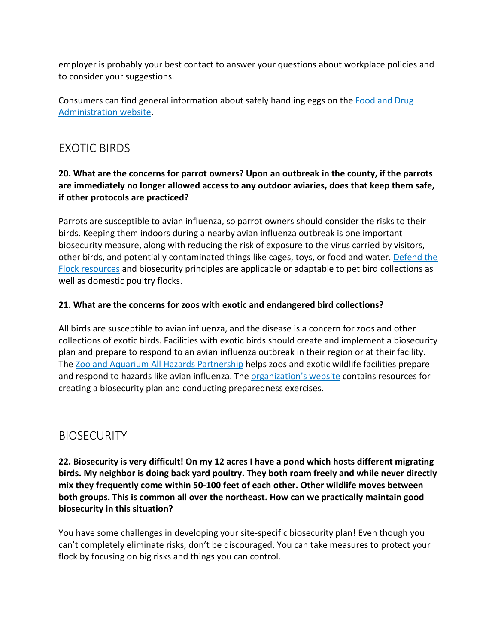employer is probably your best contact to answer your questions about workplace policies and to consider your suggestions.

Consumers can find general information about safely handling eggs on the [Food and Drug](https://www.fda.gov/food/buy-store-serve-safe-food/what-you-need-know-about-egg-safety#:%7E:text=Wash%20hands%2C%20utensils%2C%20equipment%2C,cooked%20to%20160%C2%B0%20F.) [Administration website.](https://www.fda.gov/food/buy-store-serve-safe-food/what-you-need-know-about-egg-safety#:%7E:text=Wash%20hands%2C%20utensils%2C%20equipment%2C,cooked%20to%20160%C2%B0%20F.)

# EXOTIC BIRDS

## **20. What are the concerns for parrot owners? Upon an outbreak in the county, if the parrots are immediately no longer allowed access to any outdoor aviaries, does that keep them safe, if other protocols are practiced?**

Parrots are susceptible to avian influenza, so parrot owners should consider the risks to their birds. Keeping them indoors during a nearby avian influenza outbreak is one important biosecurity measure, along with reducing the risk of exposure to the virus carried by visitors, other birds, and potentially contaminated things like cages, toys, or food and water. [Defend the](https://www.aphis.usda.gov/aphis/ourfocus/animalhealth/animal-disease-information/avian/defend-the-flock-program/dtf-resources)  [Flock resources](https://www.aphis.usda.gov/aphis/ourfocus/animalhealth/animal-disease-information/avian/defend-the-flock-program/dtf-resources) and biosecurity principles are applicable or adaptable to pet bird collections as well as domestic poultry flocks.

## **21. What are the concerns for zoos with exotic and endangered bird collections?**

All birds are susceptible to avian influenza, and the disease is a concern for zoos and other collections of exotic birds. Facilities with exotic birds should create and implement a biosecurity plan and prepare to respond to an avian influenza outbreak in their region or at their facility. The [Zoo and Aquarium All Hazards Partnership](https://zahp.org/) helps zoos and exotic wildlife facilities prepare and respond to hazards like avian influenza. The [organization's website](https://zahp.org/facility-preparedness/) contains resources for creating a biosecurity plan and conducting preparedness exercises.

# **BIOSECURITY**

**22. Biosecurity is very difficult! On my 12 acres I have a pond which hosts different migrating birds. My neighbor is doing back yard poultry. They both roam freely and while never directly mix they frequently come within 50-100 feet of each other. Other wildlife moves between both groups. This is common all over the northeast. How can we practically maintain good biosecurity in this situation?**

You have some challenges in developing your site-specific biosecurity plan! Even though you can't completely eliminate risks, don't be discouraged. You can take measures to protect your flock by focusing on big risks and things you can control.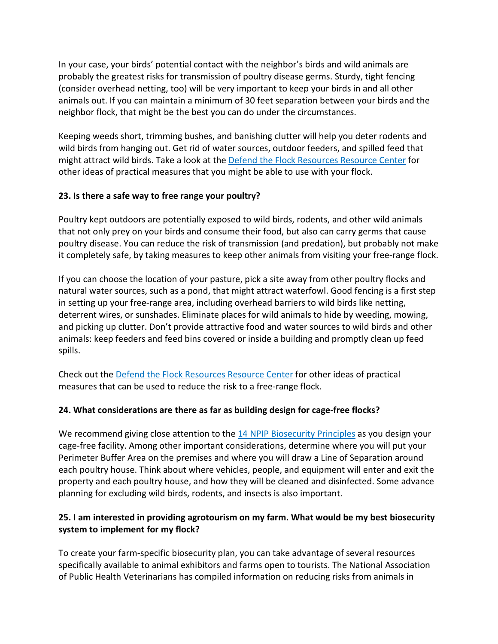In your case, your birds' potential contact with the neighbor's birds and wild animals are probably the greatest risks for transmission of poultry disease germs. Sturdy, tight fencing (consider overhead netting, too) will be very important to keep your birds in and all other animals out. If you can maintain a minimum of 30 feet separation between your birds and the neighbor flock, that might be the best you can do under the circumstances.

Keeping weeds short, trimming bushes, and banishing clutter will help you deter rodents and wild birds from hanging out. Get rid of water sources, outdoor feeders, and spilled feed that might attract wild birds. Take a look at the [Defend the Flock Resources Resource Center](https://www.aphis.usda.gov/aphis/ourfocus/animalhealth/animal-disease-information/avian/defend-the-flock-program/dtf-resources) for other ideas of practical measures that you might be able to use with your flock.

#### **23. Is there a safe way to free range your poultry?**

Poultry kept outdoors are potentially exposed to wild birds, rodents, and other wild animals that not only prey on your birds and consume their food, but also can carry germs that cause poultry disease. You can reduce the risk of transmission (and predation), but probably not make it completely safe, by taking measures to keep other animals from visiting your free-range flock.

If you can choose the location of your pasture, pick a site away from other poultry flocks and natural water sources, such as a pond, that might attract waterfowl. Good fencing is a first step in setting up your free-range area, including overhead barriers to wild birds like netting, deterrent wires, or sunshades. Eliminate places for wild animals to hide by weeding, mowing, and picking up clutter. Don't provide attractive food and water sources to wild birds and other animals: keep feeders and feed bins covered or inside a building and promptly clean up feed spills.

Check out the [Defend the Flock Resources Resource Center](https://www.aphis.usda.gov/aphis/ourfocus/animalhealth/animal-disease-information/avian/defend-the-flock-program/dtf-resources) for other ideas of practical measures that can be used to reduce the risk to a free-range flock.

#### **24. What considerations are there as far as building design for cage-free flocks?**

We recommend giving close attention to the [14 NPIP Biosecurity Principles](https://www.poultryimprovement.org/documents/StandardE-BiosecurityPrinciples.pdf) as you design your cage-free facility. Among other important considerations, determine where you will put your Perimeter Buffer Area on the premises and where you will draw a Line of Separation around each poultry house. Think about where vehicles, people, and equipment will enter and exit the property and each poultry house, and how they will be cleaned and disinfected. Some advance planning for excluding wild birds, rodents, and insects is also important.

## **25. I am interested in providing agrotourism on my farm. What would be my best biosecurity system to implement for my flock?**

To create your farm-specific biosecurity plan, you can take advantage of several resources specifically available to animal exhibitors and farms open to tourists. The National Association of Public Health Veterinarians has compiled information on reducing risks from animals in